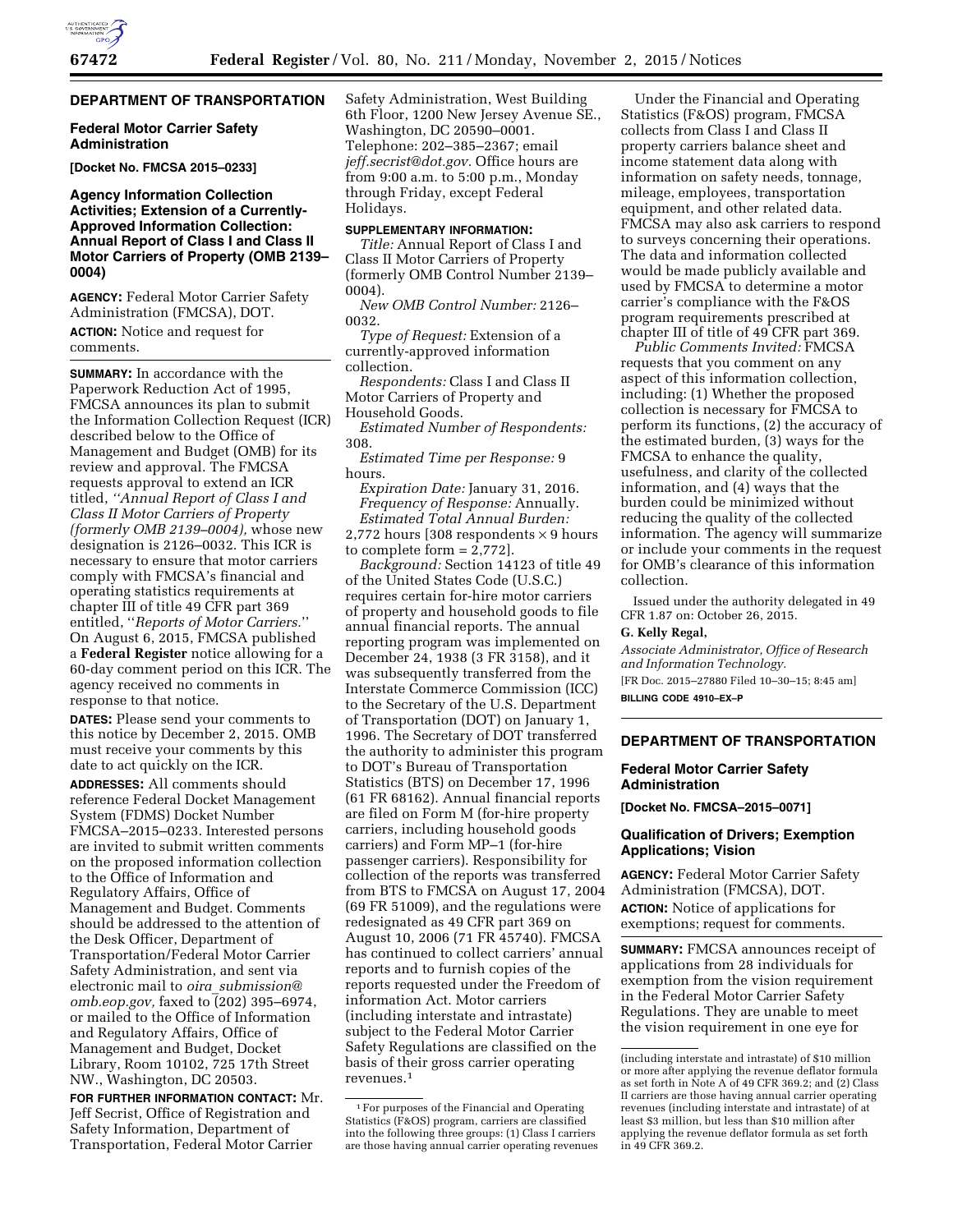# **DEPARTMENT OF TRANSPORTATION**

## **Federal Motor Carrier Safety Administration**

**[Docket No. FMCSA 2015–0233]** 

# **Agency Information Collection Activities; Extension of a Currently-Approved Information Collection: Annual Report of Class I and Class II Motor Carriers of Property (OMB 2139– 0004)**

**AGENCY:** Federal Motor Carrier Safety Administration (FMCSA), DOT. **ACTION:** Notice and request for comments.

**SUMMARY:** In accordance with the Paperwork Reduction Act of 1995, FMCSA announces its plan to submit the Information Collection Request (ICR) described below to the Office of Management and Budget (OMB) for its review and approval. The FMCSA requests approval to extend an ICR titled, *''Annual Report of Class I and Class II Motor Carriers of Property (formerly OMB 2139–0004),* whose new designation is 2126–0032. This ICR is necessary to ensure that motor carriers comply with FMCSA's financial and operating statistics requirements at chapter III of title 49 CFR part 369 entitled, ''*Reports of Motor Carriers.*'' On August 6, 2015, FMCSA published a **Federal Register** notice allowing for a 60-day comment period on this ICR. The agency received no comments in response to that notice.

**DATES:** Please send your comments to this notice by December 2, 2015. OMB must receive your comments by this date to act quickly on the ICR.

**ADDRESSES:** All comments should reference Federal Docket Management System (FDMS) Docket Number FMCSA–2015–0233. Interested persons are invited to submit written comments on the proposed information collection to the Office of Information and Regulatory Affairs, Office of Management and Budget. Comments should be addressed to the attention of the Desk Officer, Department of Transportation/Federal Motor Carrier Safety Administration, and sent via electronic mail to *oira*\_*submission@ omb.eop.gov,* faxed to (202) 395–6974, or mailed to the Office of Information and Regulatory Affairs, Office of Management and Budget, Docket Library, Room 10102, 725 17th Street NW., Washington, DC 20503.

**FOR FURTHER INFORMATION CONTACT:** Mr. Jeff Secrist, Office of Registration and Safety Information, Department of Transportation, Federal Motor Carrier

Safety Administration, West Building 6th Floor, 1200 New Jersey Avenue SE., Washington, DC 20590–0001. Telephone: 202–385–2367; email *jeff.secrist@dot.gov.* Office hours are from 9:00 a.m. to 5:00 p.m., Monday through Friday, except Federal Holidays.

# **SUPPLEMENTARY INFORMATION:**

*Title:* Annual Report of Class I and Class II Motor Carriers of Property (formerly OMB Control Number 2139– 0004).

*New OMB Control Number:* 2126– 0032.

*Type of Request:* Extension of a currently-approved information collection.

*Respondents:* Class I and Class II Motor Carriers of Property and Household Goods.

*Estimated Number of Respondents:*  308.

*Estimated Time per Response:* 9 hours.

*Expiration Date:* January 31, 2016. *Frequency of Response:* Annually. *Estimated Total Annual Burden:*  2,772 hours [308 respondents  $\times$  9 hours to complete form = 2,772].

*Background:* Section 14123 of title 49 of the United States Code (U.S.C.) requires certain for-hire motor carriers of property and household goods to file annual financial reports. The annual reporting program was implemented on December 24, 1938 (3 FR 3158), and it was subsequently transferred from the Interstate Commerce Commission (ICC) to the Secretary of the U.S. Department of Transportation (DOT) on January 1, 1996. The Secretary of DOT transferred the authority to administer this program to DOT's Bureau of Transportation Statistics (BTS) on December 17, 1996 (61 FR 68162). Annual financial reports are filed on Form M (for-hire property carriers, including household goods carriers) and Form MP–1 (for-hire passenger carriers). Responsibility for collection of the reports was transferred from BTS to FMCSA on August 17, 2004 (69 FR 51009), and the regulations were redesignated as 49 CFR part 369 on August 10, 2006 (71 FR 45740). FMCSA has continued to collect carriers' annual reports and to furnish copies of the reports requested under the Freedom of information Act. Motor carriers (including interstate and intrastate) subject to the Federal Motor Carrier Safety Regulations are classified on the basis of their gross carrier operating revenues.1

Under the Financial and Operating Statistics (F&OS) program, FMCSA collects from Class I and Class II property carriers balance sheet and income statement data along with information on safety needs, tonnage, mileage, employees, transportation equipment, and other related data. FMCSA may also ask carriers to respond to surveys concerning their operations. The data and information collected would be made publicly available and used by FMCSA to determine a motor carrier's compliance with the F&OS program requirements prescribed at chapter III of title of 49 CFR part 369.

*Public Comments Invited:* FMCSA requests that you comment on any aspect of this information collection, including: (1) Whether the proposed collection is necessary for FMCSA to perform its functions, (2) the accuracy of the estimated burden, (3) ways for the FMCSA to enhance the quality, usefulness, and clarity of the collected information, and (4) ways that the burden could be minimized without reducing the quality of the collected information. The agency will summarize or include your comments in the request for OMB's clearance of this information collection.

Issued under the authority delegated in 49 CFR 1.87 on: October 26, 2015.

## **G. Kelly Regal,**

*Associate Administrator, Office of Research and Information Technology.* 

[FR Doc. 2015–27880 Filed 10–30–15; 8:45 am] **BILLING CODE 4910–EX–P** 

# **DEPARTMENT OF TRANSPORTATION**

# **Federal Motor Carrier Safety Administration**

**[Docket No. FMCSA–2015–0071]** 

## **Qualification of Drivers; Exemption Applications; Vision**

**AGENCY:** Federal Motor Carrier Safety Administration (FMCSA), DOT. **ACTION:** Notice of applications for exemptions; request for comments.

**SUMMARY:** FMCSA announces receipt of applications from 28 individuals for exemption from the vision requirement in the Federal Motor Carrier Safety Regulations. They are unable to meet the vision requirement in one eye for

<sup>1</sup>For purposes of the Financial and Operating Statistics (F&OS) program, carriers are classified into the following three groups: (1) Class I carriers are those having annual carrier operating revenues

<sup>(</sup>including interstate and intrastate) of \$10 million or more after applying the revenue deflator formula as set forth in Note A of 49 CFR 369.2; and (2) Class II carriers are those having annual carrier operating revenues (including interstate and intrastate) of at least \$3 million, but less than \$10 million after applying the revenue deflator formula as set forth in 49 CFR 369.2.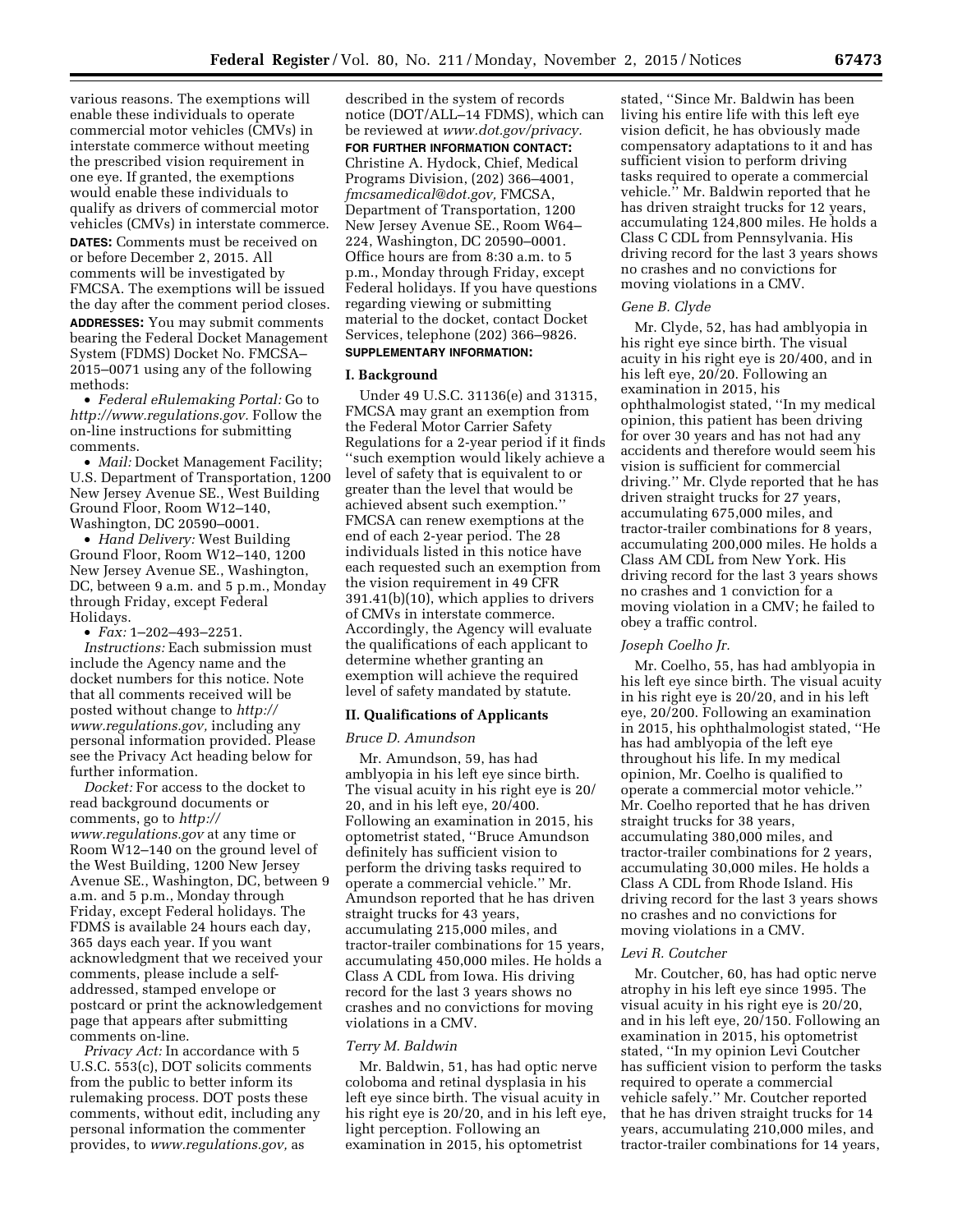various reasons. The exemptions will enable these individuals to operate commercial motor vehicles (CMVs) in interstate commerce without meeting the prescribed vision requirement in one eye. If granted, the exemptions would enable these individuals to qualify as drivers of commercial motor vehicles (CMVs) in interstate commerce.

**DATES:** Comments must be received on or before December 2, 2015. All comments will be investigated by FMCSA. The exemptions will be issued

the day after the comment period closes. **ADDRESSES:** You may submit comments bearing the Federal Docket Management System (FDMS) Docket No. FMCSA– 2015–0071 using any of the following methods:

• *Federal eRulemaking Portal:* Go to *http://www.regulations.gov.* Follow the on-line instructions for submitting comments.

• *Mail:* Docket Management Facility; U.S. Department of Transportation, 1200 New Jersey Avenue SE., West Building Ground Floor, Room W12–140, Washington, DC 20590–0001.

• *Hand Delivery:* West Building Ground Floor, Room W12–140, 1200 New Jersey Avenue SE., Washington, DC, between 9 a.m. and 5 p.m., Monday through Friday, except Federal Holidays.

• *Fax:* 1–202–493–2251.

*Instructions:* Each submission must include the Agency name and the docket numbers for this notice. Note that all comments received will be posted without change to *http:// www.regulations.gov,* including any personal information provided. Please see the Privacy Act heading below for further information.

*Docket:* For access to the docket to read background documents or comments, go to *http:// www.regulations.gov* at any time or Room W12–140 on the ground level of the West Building, 1200 New Jersey Avenue SE., Washington, DC, between 9 a.m. and 5 p.m., Monday through Friday, except Federal holidays. The FDMS is available 24 hours each day, 365 days each year. If you want acknowledgment that we received your comments, please include a selfaddressed, stamped envelope or postcard or print the acknowledgement page that appears after submitting comments on-line.

*Privacy Act:* In accordance with 5 U.S.C. 553(c), DOT solicits comments from the public to better inform its rulemaking process. DOT posts these comments, without edit, including any personal information the commenter provides, to *www.regulations.gov,* as

described in the system of records notice (DOT/ALL–14 FDMS), which can be reviewed at *www.dot.gov/privacy.*  **FOR FURTHER INFORMATION CONTACT:**  Christine A. Hydock, Chief, Medical Programs Division, (202) 366–4001, *fmcsamedical@dot.gov,* FMCSA, Department of Transportation, 1200 New Jersey Avenue SE., Room W64– 224, Washington, DC 20590–0001. Office hours are from 8:30 a.m. to 5 p.m., Monday through Friday, except Federal holidays. If you have questions regarding viewing or submitting material to the docket, contact Docket Services, telephone (202) 366–9826. **SUPPLEMENTARY INFORMATION:** 

# **I. Background**

Under 49 U.S.C. 31136(e) and 31315, FMCSA may grant an exemption from the Federal Motor Carrier Safety Regulations for a 2-year period if it finds ''such exemption would likely achieve a level of safety that is equivalent to or greater than the level that would be achieved absent such exemption.'' FMCSA can renew exemptions at the end of each 2-year period. The 28 individuals listed in this notice have each requested such an exemption from the vision requirement in 49 CFR 391.41(b)(10), which applies to drivers of CMVs in interstate commerce. Accordingly, the Agency will evaluate the qualifications of each applicant to determine whether granting an exemption will achieve the required level of safety mandated by statute.

## **II. Qualifications of Applicants**

#### *Bruce D. Amundson*

Mr. Amundson, 59, has had amblyopia in his left eye since birth. The visual acuity in his right eye is 20/ 20, and in his left eye, 20/400. Following an examination in 2015, his optometrist stated, ''Bruce Amundson definitely has sufficient vision to perform the driving tasks required to operate a commercial vehicle.'' Mr. Amundson reported that he has driven straight trucks for 43 years, accumulating 215,000 miles, and tractor-trailer combinations for 15 years, accumulating 450,000 miles. He holds a Class A CDL from Iowa. His driving record for the last 3 years shows no crashes and no convictions for moving violations in a CMV.

#### *Terry M. Baldwin*

Mr. Baldwin, 51, has had optic nerve coloboma and retinal dysplasia in his left eye since birth. The visual acuity in his right eye is 20/20, and in his left eye, light perception. Following an examination in 2015, his optometrist

stated, ''Since Mr. Baldwin has been living his entire life with this left eye vision deficit, he has obviously made compensatory adaptations to it and has sufficient vision to perform driving tasks required to operate a commercial vehicle.'' Mr. Baldwin reported that he has driven straight trucks for 12 years, accumulating 124,800 miles. He holds a Class C CDL from Pennsylvania. His driving record for the last 3 years shows no crashes and no convictions for moving violations in a CMV.

### *Gene B. Clyde*

Mr. Clyde, 52, has had amblyopia in his right eye since birth. The visual acuity in his right eye is 20/400, and in his left eye, 20/20. Following an examination in 2015, his ophthalmologist stated, ''In my medical opinion, this patient has been driving for over 30 years and has not had any accidents and therefore would seem his vision is sufficient for commercial driving.'' Mr. Clyde reported that he has driven straight trucks for 27 years, accumulating 675,000 miles, and tractor-trailer combinations for 8 years, accumulating 200,000 miles. He holds a Class AM CDL from New York. His driving record for the last 3 years shows no crashes and 1 conviction for a moving violation in a CMV; he failed to obey a traffic control.

### *Joseph Coelho Jr.*

Mr. Coelho, 55, has had amblyopia in his left eye since birth. The visual acuity in his right eye is 20/20, and in his left eye, 20/200. Following an examination in 2015, his ophthalmologist stated, ''He has had amblyopia of the left eye throughout his life. In my medical opinion, Mr. Coelho is qualified to operate a commercial motor vehicle.'' Mr. Coelho reported that he has driven straight trucks for 38 years, accumulating 380,000 miles, and tractor-trailer combinations for 2 years, accumulating 30,000 miles. He holds a Class A CDL from Rhode Island. His driving record for the last 3 years shows no crashes and no convictions for moving violations in a CMV.

### *Levi R. Coutcher*

Mr. Coutcher, 60, has had optic nerve atrophy in his left eye since 1995. The visual acuity in his right eye is 20/20, and in his left eye, 20/150. Following an examination in 2015, his optometrist stated, ''In my opinion Levi Coutcher has sufficient vision to perform the tasks required to operate a commercial vehicle safely.'' Mr. Coutcher reported that he has driven straight trucks for 14 years, accumulating 210,000 miles, and tractor-trailer combinations for 14 years,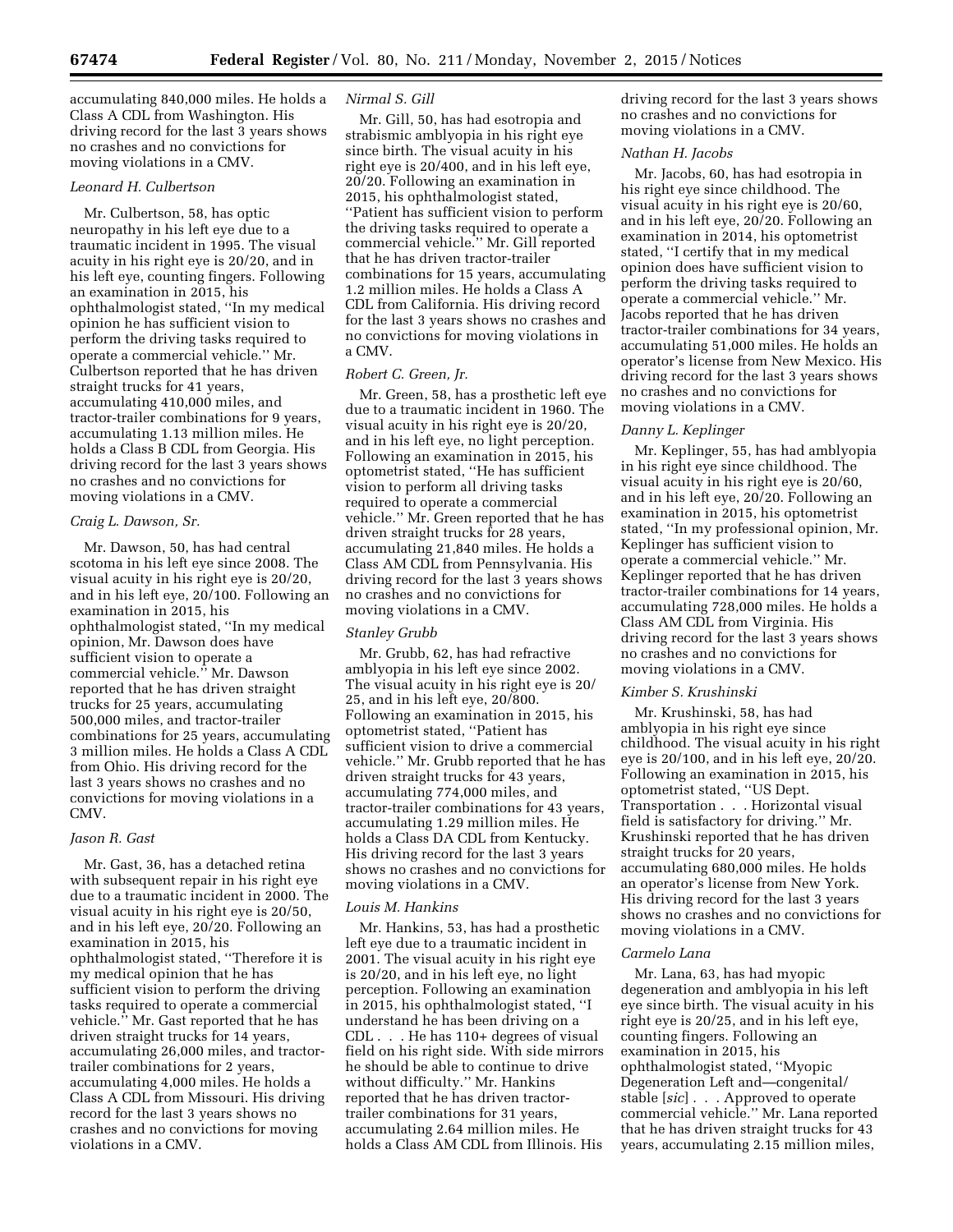accumulating 840,000 miles. He holds a Class A CDL from Washington. His driving record for the last 3 years shows no crashes and no convictions for moving violations in a CMV.

## *Leonard H. Culbertson*

Mr. Culbertson, 58, has optic neuropathy in his left eye due to a traumatic incident in 1995. The visual acuity in his right eye is 20/20, and in his left eye, counting fingers. Following an examination in 2015, his ophthalmologist stated, ''In my medical opinion he has sufficient vision to perform the driving tasks required to operate a commercial vehicle.'' Mr. Culbertson reported that he has driven straight trucks for 41 years, accumulating 410,000 miles, and tractor-trailer combinations for 9 years, accumulating 1.13 million miles. He holds a Class B CDL from Georgia. His driving record for the last 3 years shows no crashes and no convictions for moving violations in a CMV.

## *Craig L. Dawson, Sr.*

Mr. Dawson, 50, has had central scotoma in his left eye since 2008. The visual acuity in his right eye is 20/20, and in his left eye, 20/100. Following an examination in 2015, his ophthalmologist stated, ''In my medical opinion, Mr. Dawson does have sufficient vision to operate a commercial vehicle.'' Mr. Dawson reported that he has driven straight trucks for 25 years, accumulating 500,000 miles, and tractor-trailer combinations for 25 years, accumulating 3 million miles. He holds a Class A CDL from Ohio. His driving record for the last 3 years shows no crashes and no convictions for moving violations in a CMV.

### *Jason R. Gast*

Mr. Gast, 36, has a detached retina with subsequent repair in his right eye due to a traumatic incident in 2000. The visual acuity in his right eye is 20/50, and in his left eye, 20/20. Following an examination in 2015, his ophthalmologist stated, ''Therefore it is my medical opinion that he has sufficient vision to perform the driving tasks required to operate a commercial vehicle.'' Mr. Gast reported that he has driven straight trucks for 14 years, accumulating 26,000 miles, and tractortrailer combinations for 2 years, accumulating 4,000 miles. He holds a Class A CDL from Missouri. His driving record for the last 3 years shows no crashes and no convictions for moving violations in a CMV.

## *Nirmal S. Gill*

Mr. Gill, 50, has had esotropia and strabismic amblyopia in his right eye since birth. The visual acuity in his right eye is 20/400, and in his left eye, 20/20. Following an examination in 2015, his ophthalmologist stated, ''Patient has sufficient vision to perform the driving tasks required to operate a commercial vehicle.'' Mr. Gill reported that he has driven tractor-trailer combinations for 15 years, accumulating 1.2 million miles. He holds a Class A CDL from California. His driving record for the last 3 years shows no crashes and no convictions for moving violations in a CMV.

# *Robert C. Green, Jr.*

Mr. Green, 58, has a prosthetic left eye due to a traumatic incident in 1960. The visual acuity in his right eye is 20/20, and in his left eye, no light perception. Following an examination in 2015, his optometrist stated, ''He has sufficient vision to perform all driving tasks required to operate a commercial vehicle.'' Mr. Green reported that he has driven straight trucks for 28 years, accumulating 21,840 miles. He holds a Class AM CDL from Pennsylvania. His driving record for the last 3 years shows no crashes and no convictions for moving violations in a CMV.

## *Stanley Grubb*

Mr. Grubb, 62, has had refractive amblyopia in his left eye since 2002. The visual acuity in his right eye is 20/ 25, and in his left eye, 20/800. Following an examination in 2015, his optometrist stated, ''Patient has sufficient vision to drive a commercial vehicle.'' Mr. Grubb reported that he has driven straight trucks for 43 years, accumulating 774,000 miles, and tractor-trailer combinations for 43 years, accumulating 1.29 million miles. He holds a Class DA CDL from Kentucky. His driving record for the last 3 years shows no crashes and no convictions for moving violations in a CMV.

## *Louis M. Hankins*

Mr. Hankins, 53, has had a prosthetic left eye due to a traumatic incident in 2001. The visual acuity in his right eye is 20/20, and in his left eye, no light perception. Following an examination in 2015, his ophthalmologist stated, ''I understand he has been driving on a CDL . . . He has 110+ degrees of visual field on his right side. With side mirrors he should be able to continue to drive without difficulty.'' Mr. Hankins reported that he has driven tractortrailer combinations for 31 years, accumulating 2.64 million miles. He holds a Class AM CDL from Illinois. His

driving record for the last 3 years shows no crashes and no convictions for moving violations in a CMV.

## *Nathan H. Jacobs*

Mr. Jacobs, 60, has had esotropia in his right eye since childhood. The visual acuity in his right eye is 20/60, and in his left eye, 20/20. Following an examination in 2014, his optometrist stated, ''I certify that in my medical opinion does have sufficient vision to perform the driving tasks required to operate a commercial vehicle.'' Mr. Jacobs reported that he has driven tractor-trailer combinations for 34 years, accumulating 51,000 miles. He holds an operator's license from New Mexico. His driving record for the last 3 years shows no crashes and no convictions for moving violations in a CMV.

## *Danny L. Keplinger*

Mr. Keplinger, 55, has had amblyopia in his right eye since childhood. The visual acuity in his right eye is 20/60, and in his left eye, 20/20. Following an examination in 2015, his optometrist stated, ''In my professional opinion, Mr. Keplinger has sufficient vision to operate a commercial vehicle.'' Mr. Keplinger reported that he has driven tractor-trailer combinations for 14 years, accumulating 728,000 miles. He holds a Class AM CDL from Virginia. His driving record for the last 3 years shows no crashes and no convictions for moving violations in a CMV.

#### *Kimber S. Krushinski*

Mr. Krushinski, 58, has had amblyopia in his right eye since childhood. The visual acuity in his right eye is 20/100, and in his left eye, 20/20. Following an examination in 2015, his optometrist stated, ''US Dept. Transportation . . . Horizontal visual field is satisfactory for driving.'' Mr. Krushinski reported that he has driven straight trucks for 20 years, accumulating 680,000 miles. He holds an operator's license from New York. His driving record for the last 3 years shows no crashes and no convictions for moving violations in a CMV.

### *Carmelo Lana*

Mr. Lana, 63, has had myopic degeneration and amblyopia in his left eye since birth. The visual acuity in his right eye is 20/25, and in his left eye, counting fingers. Following an examination in 2015, his ophthalmologist stated, ''Myopic Degeneration Left and—congenital/ stable [*sic*] . . . Approved to operate commercial vehicle.'' Mr. Lana reported that he has driven straight trucks for 43 years, accumulating 2.15 million miles,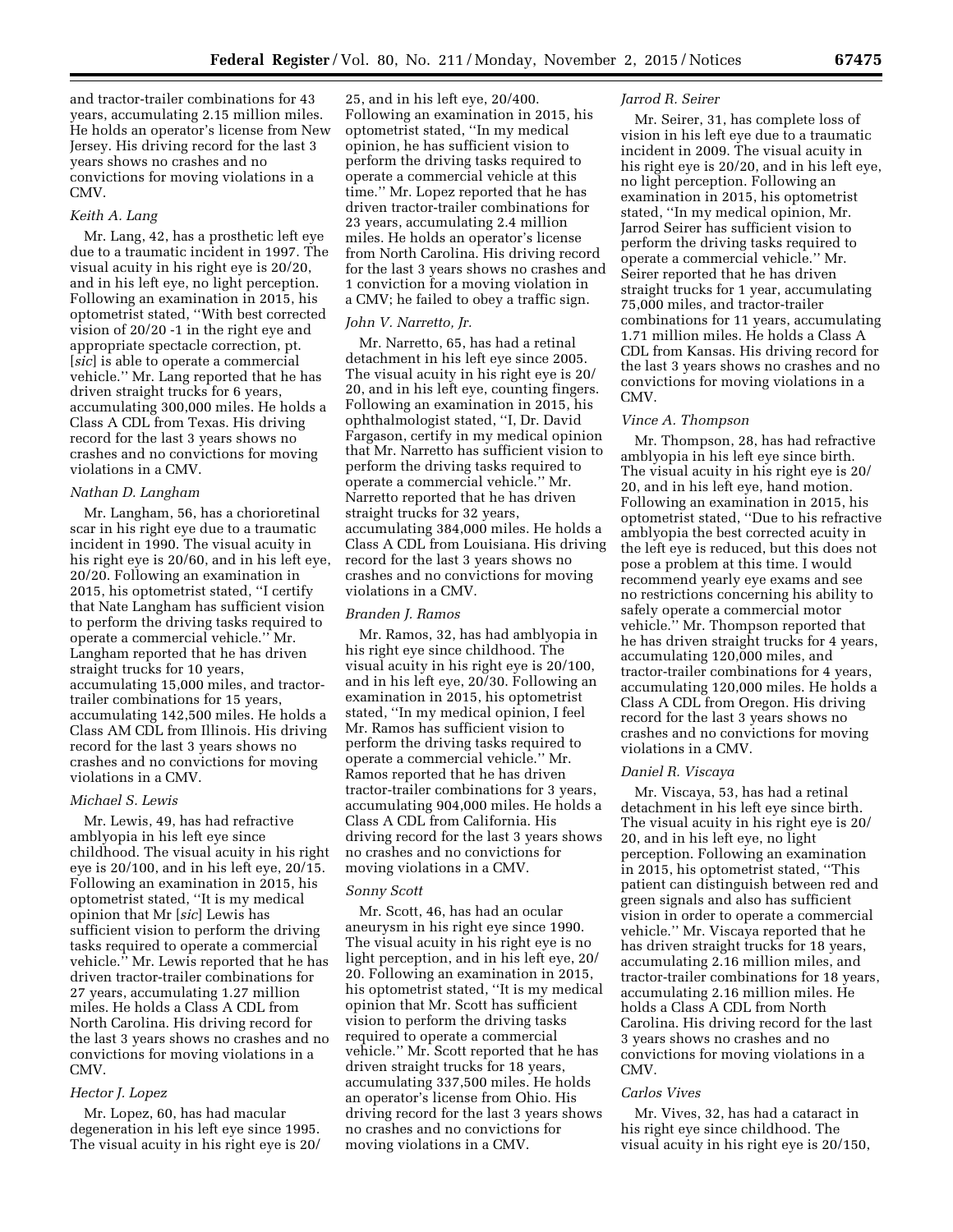and tractor-trailer combinations for 43 years, accumulating 2.15 million miles. He holds an operator's license from New Jersey. His driving record for the last 3 years shows no crashes and no convictions for moving violations in a CMV.

## *Keith A. Lang*

Mr. Lang, 42, has a prosthetic left eye due to a traumatic incident in 1997. The visual acuity in his right eye is 20/20, and in his left eye, no light perception. Following an examination in 2015, his optometrist stated, ''With best corrected vision of 20/20 -1 in the right eye and appropriate spectacle correction, pt. [*sic*] is able to operate a commercial vehicle.'' Mr. Lang reported that he has driven straight trucks for 6 years, accumulating 300,000 miles. He holds a Class A CDL from Texas. His driving record for the last 3 years shows no crashes and no convictions for moving violations in a CMV.

### *Nathan D. Langham*

Mr. Langham, 56, has a chorioretinal scar in his right eye due to a traumatic incident in 1990. The visual acuity in his right eye is 20/60, and in his left eye, 20/20. Following an examination in 2015, his optometrist stated, ''I certify that Nate Langham has sufficient vision to perform the driving tasks required to operate a commercial vehicle.'' Mr. Langham reported that he has driven straight trucks for 10 years, accumulating 15,000 miles, and tractortrailer combinations for 15 years, accumulating 142,500 miles. He holds a Class AM CDL from Illinois. His driving record for the last 3 years shows no crashes and no convictions for moving violations in a CMV.

## *Michael S. Lewis*

Mr. Lewis, 49, has had refractive amblyopia in his left eye since childhood. The visual acuity in his right eye is 20/100, and in his left eye, 20/15. Following an examination in 2015, his optometrist stated, ''It is my medical opinion that Mr [*sic*] Lewis has sufficient vision to perform the driving tasks required to operate a commercial vehicle.'' Mr. Lewis reported that he has driven tractor-trailer combinations for 27 years, accumulating 1.27 million miles. He holds a Class A CDL from North Carolina. His driving record for the last 3 years shows no crashes and no convictions for moving violations in a CMV.

## *Hector J. Lopez*

Mr. Lopez, 60, has had macular degeneration in his left eye since 1995. The visual acuity in his right eye is 20/

25, and in his left eye, 20/400. Following an examination in 2015, his optometrist stated, ''In my medical opinion, he has sufficient vision to perform the driving tasks required to operate a commercial vehicle at this time.'' Mr. Lopez reported that he has driven tractor-trailer combinations for 23 years, accumulating 2.4 million miles. He holds an operator's license from North Carolina. His driving record for the last 3 years shows no crashes and 1 conviction for a moving violation in a CMV; he failed to obey a traffic sign.

## *John V. Narretto, Jr.*

Mr. Narretto, 65, has had a retinal detachment in his left eye since 2005. The visual acuity in his right eye is 20/ 20, and in his left eye, counting fingers. Following an examination in 2015, his ophthalmologist stated, ''I, Dr. David Fargason, certify in my medical opinion that Mr. Narretto has sufficient vision to perform the driving tasks required to operate a commercial vehicle.'' Mr. Narretto reported that he has driven straight trucks for 32 years, accumulating 384,000 miles. He holds a Class A CDL from Louisiana. His driving record for the last 3 years shows no crashes and no convictions for moving violations in a CMV.

## *Branden J. Ramos*

Mr. Ramos, 32, has had amblyopia in his right eye since childhood. The visual acuity in his right eye is 20/100, and in his left eye, 20/30. Following an examination in 2015, his optometrist stated, ''In my medical opinion, I feel Mr. Ramos has sufficient vision to perform the driving tasks required to operate a commercial vehicle.'' Mr. Ramos reported that he has driven tractor-trailer combinations for 3 years, accumulating 904,000 miles. He holds a Class A CDL from California. His driving record for the last 3 years shows no crashes and no convictions for moving violations in a CMV.

## *Sonny Scott*

Mr. Scott, 46, has had an ocular aneurysm in his right eye since 1990. The visual acuity in his right eye is no light perception, and in his left eye, 20/ 20. Following an examination in 2015, his optometrist stated, ''It is my medical opinion that Mr. Scott has sufficient vision to perform the driving tasks required to operate a commercial vehicle.'' Mr. Scott reported that he has driven straight trucks for 18 years, accumulating 337,500 miles. He holds an operator's license from Ohio. His driving record for the last 3 years shows no crashes and no convictions for moving violations in a CMV.

# *Jarrod R. Seirer*

Mr. Seirer, 31, has complete loss of vision in his left eye due to a traumatic incident in 2009. The visual acuity in his right eye is 20/20, and in his left eye, no light perception. Following an examination in 2015, his optometrist stated, ''In my medical opinion, Mr. Jarrod Seirer has sufficient vision to perform the driving tasks required to operate a commercial vehicle.'' Mr. Seirer reported that he has driven straight trucks for 1 year, accumulating 75,000 miles, and tractor-trailer combinations for 11 years, accumulating 1.71 million miles. He holds a Class A CDL from Kansas. His driving record for the last 3 years shows no crashes and no convictions for moving violations in a CMV.

## *Vince A. Thompson*

Mr. Thompson, 28, has had refractive amblyopia in his left eye since birth. The visual acuity in his right eye is 20/ 20, and in his left eye, hand motion. Following an examination in 2015, his optometrist stated, ''Due to his refractive amblyopia the best corrected acuity in the left eye is reduced, but this does not pose a problem at this time. I would recommend yearly eye exams and see no restrictions concerning his ability to safely operate a commercial motor vehicle.'' Mr. Thompson reported that he has driven straight trucks for 4 years, accumulating 120,000 miles, and tractor-trailer combinations for 4 years, accumulating 120,000 miles. He holds a Class A CDL from Oregon. His driving record for the last 3 years shows no crashes and no convictions for moving violations in a CMV.

## *Daniel R. Viscaya*

Mr. Viscaya, 53, has had a retinal detachment in his left eye since birth. The visual acuity in his right eye is 20/ 20, and in his left eye, no light perception. Following an examination in 2015, his optometrist stated, ''This patient can distinguish between red and green signals and also has sufficient vision in order to operate a commercial vehicle.'' Mr. Viscaya reported that he has driven straight trucks for 18 years, accumulating 2.16 million miles, and tractor-trailer combinations for 18 years, accumulating 2.16 million miles. He holds a Class A CDL from North Carolina. His driving record for the last 3 years shows no crashes and no convictions for moving violations in a CMV.

## *Carlos Vives*

Mr. Vives, 32, has had a cataract in his right eye since childhood. The visual acuity in his right eye is 20/150,